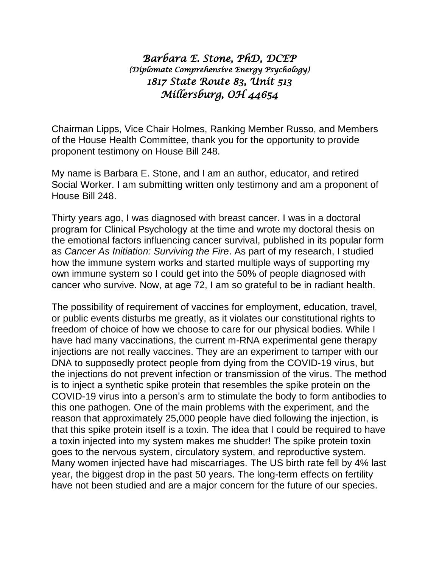## *Barbara E. Stone, PhD, DCEP (Diplomate Comprehensive Energy Psychology) 1817 State Route 83, Unit 513 Millersburg, OH 44654*

Chairman Lipps, Vice Chair Holmes, Ranking Member Russo, and Members of the House Health Committee, thank you for the opportunity to provide proponent testimony on House Bill 248.

My name is Barbara E. Stone, and I am an author, educator, and retired Social Worker. I am submitting written only testimony and am a proponent of House Bill 248.

Thirty years ago, I was diagnosed with breast cancer. I was in a doctoral program for Clinical Psychology at the time and wrote my doctoral thesis on the emotional factors influencing cancer survival, published in its popular form as *Cancer As Initiation: Surviving the Fire*. As part of my research, I studied how the immune system works and started multiple ways of supporting my own immune system so I could get into the 50% of people diagnosed with cancer who survive. Now, at age 72, I am so grateful to be in radiant health.

The possibility of requirement of vaccines for employment, education, travel, or public events disturbs me greatly, as it violates our constitutional rights to freedom of choice of how we choose to care for our physical bodies. While I have had many vaccinations, the current m-RNA experimental gene therapy injections are not really vaccines. They are an experiment to tamper with our DNA to supposedly protect people from dying from the COVID-19 virus, but the injections do not prevent infection or transmission of the virus. The method is to inject a synthetic spike protein that resembles the spike protein on the COVID-19 virus into a person's arm to stimulate the body to form antibodies to this one pathogen. One of the main problems with the experiment, and the reason that approximately 25,000 people have died following the injection, is that this spike protein itself is a toxin. The idea that I could be required to have a toxin injected into my system makes me shudder! The spike protein toxin goes to the nervous system, circulatory system, and reproductive system. Many women injected have had miscarriages. The US birth rate fell by 4% last year, the biggest drop in the past 50 years. The long-term effects on fertility have not been studied and are a major concern for the future of our species.